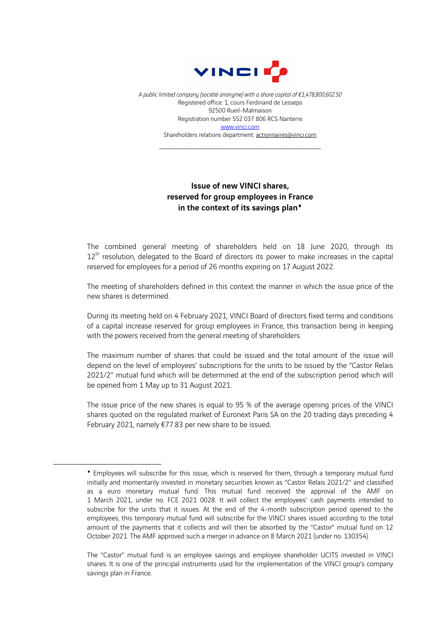

*A public limited company (société anonyme) with a share capital of €1,478,800,602.50* Registered office: 1, cours Ferdinand de Lesseps 92500 Rueil-Malmaison Registration number 552 037 806 RCS Nanterre www.vinci.com Shareholders relations department: actionnaires@vinci.com

## Issue of new VINCI shares, reserved for group employees in France in the context of its savings plan<sup>+</sup>

The combined general meeting of shareholders held on 18 June 2020, through its  $12<sup>th</sup>$  resolution, delegated to the Board of directors its power to make increases in the capital reserved for employees for a period of 26 months expiring on 17 August 2022.

The meeting of shareholders defined in this context the manner in which the issue price of the new shares is determined.

During its meeting held on 4 February 2021, VINCI Board of directors fixed terms and conditions of a capital increase reserved for group employees in France, this transaction being in keeping with the powers received from the general meeting of shareholders.

The maximum number of shares that could be issued and the total amount of the issue will depend on the level of employees' subscriptions for the units to be issued by the "Castor Relais 2021/2" mutual fund which will be determined at the end of the subscription period which will be opened from 1 May up to 31 August 2021.

The issue price of the new shares is equal to 95 % of the average opening prices of the VINCI shares quoted on the regulated market of Euronext Paris SA on the 20 trading days preceding 4 February 2021, namely €77.83 per new share to be issued.

<sup>¨</sup> Employees will subscribe for this issue, which is reserved for them, through a temporary mutual fund initially and momentarily invested in monetary securities known as "Castor Relais 2021/2" and classified as a euro monetary mutual fund. This mutual fund received the approval of the AMF on 1 March 2021, under no. FCE 2021 0028. It will collect the employees' cash payments intended to subscribe for the units that it issues. At the end of the 4-month subscription period opened to the employees, this temporary mutual fund will subscribe for the VINCI shares issued according to the total amount of the payments that it collects and will then be absorbed by the "Castor" mutual fund on 12 October 2021. The AMF approved such a merger in advance on 8 March 2021 (under no. 130354).

The "Castor" mutual fund is an employee savings and employee shareholder UCITS invested in VINCI shares. It is one of the principal instruments used for the implementation of the VINCI group's company savings plan in France.